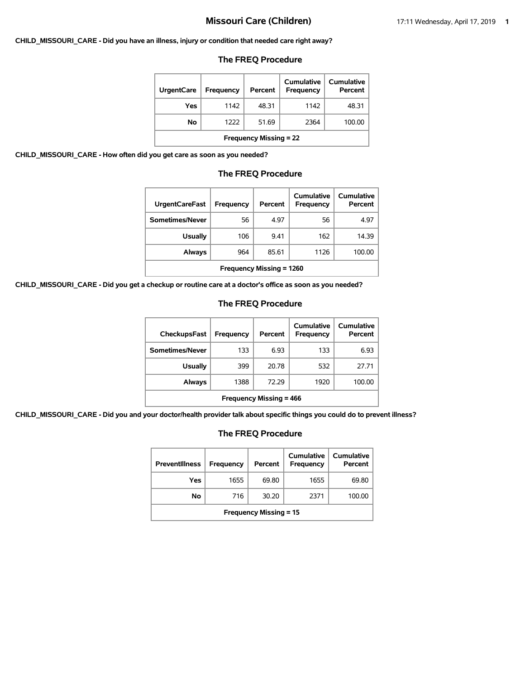#### **CHILD\_MISSOURI\_CARE - Did you have an illness, injury or condition that needed care right away?**

### **The FREQ Procedure**

| <b>UrgentCare</b>             | Frequency | Percent | Cumulative<br>Frequency | Cumulative<br>Percent |  |
|-------------------------------|-----------|---------|-------------------------|-----------------------|--|
| Yes                           | 1142      | 48.31   | 1142                    | 48.31                 |  |
| No                            | 1222      | 51.69   | 2364                    | 100.00                |  |
| <b>Frequency Missing = 22</b> |           |         |                         |                       |  |

**CHILD\_MISSOURI\_CARE - How often did you get care as soon as you needed?**

### **The FREQ Procedure**

| <b>UrgentCareFast</b>           | Frequency | Percent | Cumulative<br><b>Frequency</b> | Cumulative<br>Percent |
|---------------------------------|-----------|---------|--------------------------------|-----------------------|
| Sometimes/Never                 | 56        | 4.97    | 56                             | 4.97                  |
| <b>Usually</b>                  | 106       | 9.41    | 162                            | 14.39                 |
| Always                          | 964       | 85.61   | 1126                           | 100.00                |
| <b>Frequency Missing = 1260</b> |           |         |                                |                       |

**CHILD\_MISSOURI\_CARE - Did you get a checkup or routine care at a doctor's office as soon as you needed?**

### **The FREQ Procedure**

| <b>CheckupsFast</b>            | <b>Frequency</b> | Percent | Cumulative<br>Frequency | Cumulative<br>Percent |  |
|--------------------------------|------------------|---------|-------------------------|-----------------------|--|
| Sometimes/Never                | 133              | 6.93    | 133                     | 6.93                  |  |
| <b>Usually</b>                 | 399              | 20.78   | 532                     | 27.71                 |  |
| Always                         | 1388             | 72.29   | 1920                    | 100.00                |  |
| <b>Frequency Missing = 466</b> |                  |         |                         |                       |  |

**CHILD\_MISSOURI\_CARE - Did you and your doctor/health provider talk about specific things you could do to prevent illness?**

| <b>Preventillness</b>         | <b>Frequency</b> | Percent | Cumulative<br><b>Frequency</b> | Cumulative<br>Percent |  |
|-------------------------------|------------------|---------|--------------------------------|-----------------------|--|
| Yes                           | 1655             | 69.80   | 1655                           | 69.80                 |  |
| No                            | 716              | 30.20   | 2371                           | 100.00                |  |
| <b>Frequency Missing = 15</b> |                  |         |                                |                       |  |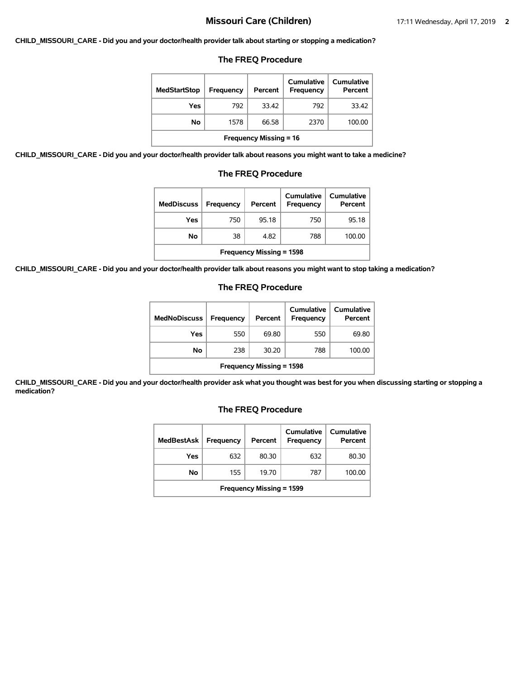#### **CHILD\_MISSOURI\_CARE - Did you and your doctor/health provider talk about starting or stopping a medication?**

### **The FREQ Procedure**

| <b>MedStartStop</b>           | Frequency | Percent | Cumulative<br><b>Frequency</b> | Cumulative<br>Percent |  |
|-------------------------------|-----------|---------|--------------------------------|-----------------------|--|
| Yes                           | 792       | 33.42   | 792                            | 33.42                 |  |
| No                            | 1578      | 66.58   | 2370                           | 100.00                |  |
| <b>Frequency Missing = 16</b> |           |         |                                |                       |  |

**CHILD\_MISSOURI\_CARE - Did you and your doctor/health provider talk about reasons you might want to take a medicine?**

### **The FREQ Procedure**

| <b>MedDiscuss</b>               | Frequency | Percent | Cumulative<br><b>Frequency</b> | Cumulative<br>Percent |  |
|---------------------------------|-----------|---------|--------------------------------|-----------------------|--|
| Yes                             | 750       | 95.18   | 750                            | 95.18                 |  |
| No                              | 38        | 4.82    | 788                            | 100.00                |  |
| <b>Frequency Missing = 1598</b> |           |         |                                |                       |  |

**CHILD\_MISSOURI\_CARE - Did you and your doctor/health provider talk about reasons you might want to stop taking a medication?**

### **The FREQ Procedure**

| <b>MedNoDiscuss</b>             | <b>Frequency</b> | Percent | Cumulative<br>Frequency | <b>Cumulative</b><br>Percent |
|---------------------------------|------------------|---------|-------------------------|------------------------------|
| Yes                             | 550              | 69.80   | 550                     | 69.80                        |
| No                              | 238              | 30.20   | 788                     | 100.00                       |
| <b>Frequency Missing = 1598</b> |                  |         |                         |                              |

**CHILD\_MISSOURI\_CARE - Did you and your doctor/health provider ask what you thought was best for you when discussing starting or stopping a medication?**

| MedBestAsk                      | Frequency | Percent | Cumulative<br>Frequency | Cumulative<br>Percent |  |
|---------------------------------|-----------|---------|-------------------------|-----------------------|--|
| Yes                             | 632       | 80.30   | 632                     | 80.30                 |  |
| No.                             | 155       | 19.70   | 787                     | 100.00                |  |
| <b>Frequency Missing = 1599</b> |           |         |                         |                       |  |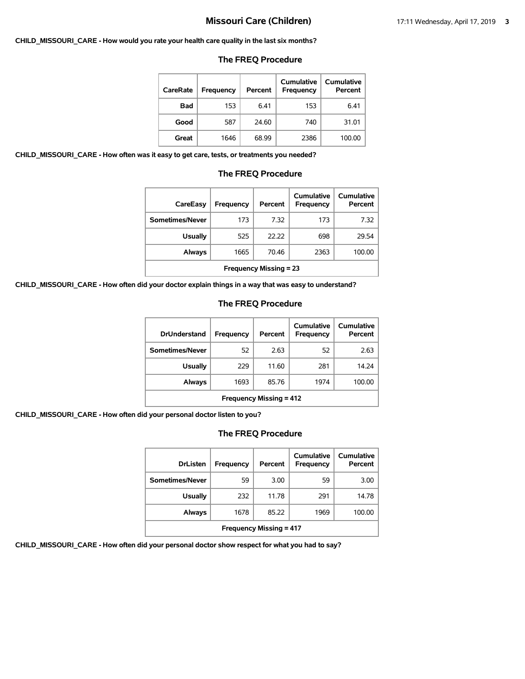#### **CHILD\_MISSOURI\_CARE - How would you rate your health care quality in the last six months?**

### **The FREQ Procedure**

| CareRate   | Frequency | Percent | <b>Cumulative</b><br><b>Frequency</b> | Cumulative<br>Percent |
|------------|-----------|---------|---------------------------------------|-----------------------|
| <b>Bad</b> | 153       | 6.41    | 153                                   | 6.41                  |
| Good       | 587       | 24.60   | 740                                   | 31.01                 |
| Great      | 1646      | 68.99   | 2386                                  | 100.00                |

**CHILD\_MISSOURI\_CARE - How often was it easy to get care, tests, or treatments you needed?**

#### **The FREQ Procedure**

| CareEasy                      | Frequency | Percent | Cumulative<br>Frequency | Cumulative<br>Percent |  |
|-------------------------------|-----------|---------|-------------------------|-----------------------|--|
| Sometimes/Never               | 173       | 7.32    | 173                     | 7.32                  |  |
| <b>Usually</b>                | 525       | 22.22   | 698                     | 29.54                 |  |
| Always                        | 1665      | 70.46   | 2363                    | 100.00                |  |
| <b>Frequency Missing = 23</b> |           |         |                         |                       |  |

**CHILD\_MISSOURI\_CARE - How often did your doctor explain things in a way that was easy to understand?**

### **The FREQ Procedure**

| <b>DrUnderstand</b>            | Frequency | Percent | Cumulative<br>Frequency | Cumulative<br>Percent |  |
|--------------------------------|-----------|---------|-------------------------|-----------------------|--|
| Sometimes/Never                | 52        | 2.63    | 52                      | 2.63                  |  |
| <b>Usually</b>                 | 229       | 11.60   | 281                     | 14.24                 |  |
| Always                         | 1693      | 85.76   | 1974                    | 100.00                |  |
| <b>Frequency Missing = 412</b> |           |         |                         |                       |  |

**CHILD\_MISSOURI\_CARE - How often did your personal doctor listen to you?**

# **The FREQ Procedure**

| <b>DrListen</b>                | Frequency | Percent | Cumulative<br><b>Frequency</b> | Cumulative<br>Percent |  |
|--------------------------------|-----------|---------|--------------------------------|-----------------------|--|
| Sometimes/Never                | 59        | 3.00    | 59                             | 3.00                  |  |
| <b>Usually</b>                 | 232       | 11.78   | 291                            | 14.78                 |  |
| <b>Always</b>                  | 1678      | 85.22   | 1969                           | 100.00                |  |
| <b>Frequency Missing = 417</b> |           |         |                                |                       |  |

**CHILD\_MISSOURI\_CARE - How often did your personal doctor show respect for what you had to say?**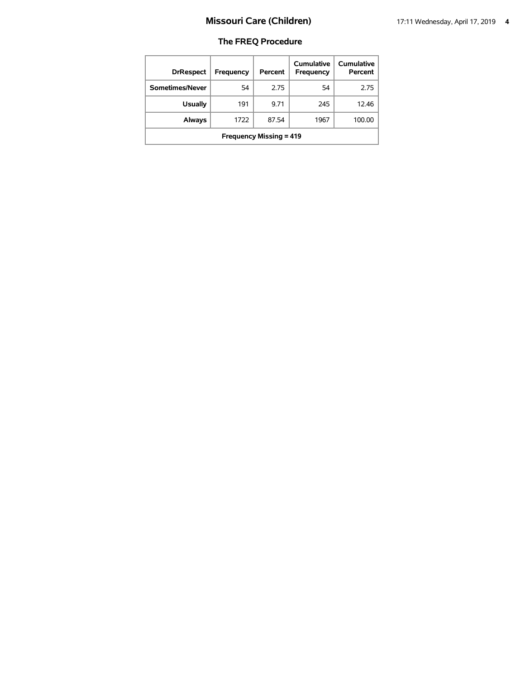| <b>DrRespect</b>               | Frequency | Percent | Cumulative<br>Frequency | <b>Cumulative</b><br>Percent |  |
|--------------------------------|-----------|---------|-------------------------|------------------------------|--|
| Sometimes/Never                | 54        | 2.75    | 54                      | 2.75                         |  |
| <b>Usually</b>                 | 191       | 9.71    | 245                     | 12.46                        |  |
| <b>Always</b>                  | 1722      | 87.54   | 1967                    | 100.00                       |  |
| <b>Frequency Missing = 419</b> |           |         |                         |                              |  |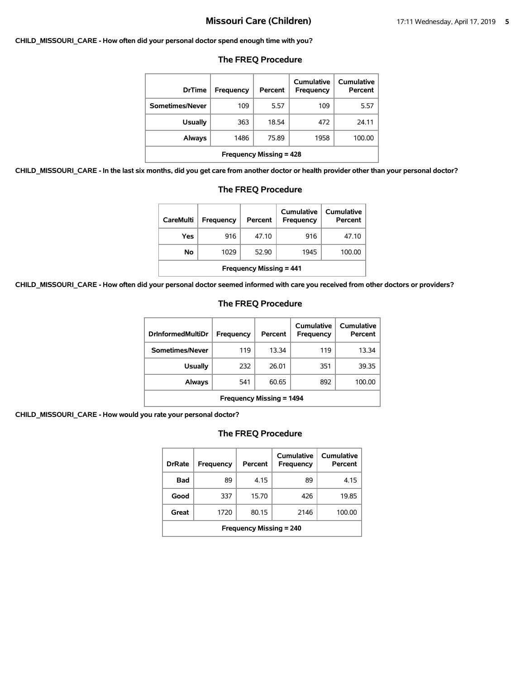#### **CHILD\_MISSOURI\_CARE - How often did your personal doctor spend enough time with you?**

| <b>DrTime</b>                  | Frequency | Percent | Cumulative<br>Frequency | Cumulative<br>Percent |  |
|--------------------------------|-----------|---------|-------------------------|-----------------------|--|
| Sometimes/Never                | 109       | 5.57    | 109                     | 5.57                  |  |
| <b>Usually</b>                 | 363       | 18.54   | 472                     | 24.11                 |  |
| Always                         | 1486      | 75.89   | 1958                    | 100.00                |  |
| <b>Frequency Missing = 428</b> |           |         |                         |                       |  |

#### **The FREQ Procedure**

**CHILD\_MISSOURI\_CARE - In the last six months, did you get care from another doctor or health provider other than your personal doctor?**

| <b>The FREQ Procedure</b>                                                                                  |     |       |     |       |  |  |
|------------------------------------------------------------------------------------------------------------|-----|-------|-----|-------|--|--|
| Cumulative<br>Cumulative<br><b>CareMulti</b><br><b>Frequency</b><br>Percent<br><b>Frequency</b><br>Percent |     |       |     |       |  |  |
| Yes                                                                                                        | 916 | 47.10 | 916 | 47.10 |  |  |
| No<br>1029<br>52.90<br>100.00<br>1945                                                                      |     |       |     |       |  |  |
| <b>Frequency Missing = 441</b>                                                                             |     |       |     |       |  |  |

**CHILD\_MISSOURI\_CARE - How often did your personal doctor seemed informed with care you received from other doctors or providers?**

### **The FREQ Procedure**

| <b>DrInformedMultiDr</b>        | Frequency | Percent | Cumulative<br>Frequency | Cumulative<br>Percent |  |
|---------------------------------|-----------|---------|-------------------------|-----------------------|--|
| Sometimes/Never                 | 119       | 13.34   | 119                     | 13.34                 |  |
| Usually                         | 232       | 26.01   | 351                     | 39.35                 |  |
| Always                          | 541       | 60.65   | 892                     | 100.00                |  |
| <b>Frequency Missing = 1494</b> |           |         |                         |                       |  |

**CHILD\_MISSOURI\_CARE - How would you rate your personal doctor?**

| <b>DrRate</b>                  | <b>Frequency</b> | Percent | Cumulative<br>Frequency | Cumulative<br>Percent |  |
|--------------------------------|------------------|---------|-------------------------|-----------------------|--|
| Bad                            | 89               | 4.15    | 89                      | 4.15                  |  |
| Good                           | 337              | 15.70   | 426                     | 19.85                 |  |
| Great                          | 1720             | 80.15   | 2146                    | 100.00                |  |
| <b>Frequency Missing = 240</b> |                  |         |                         |                       |  |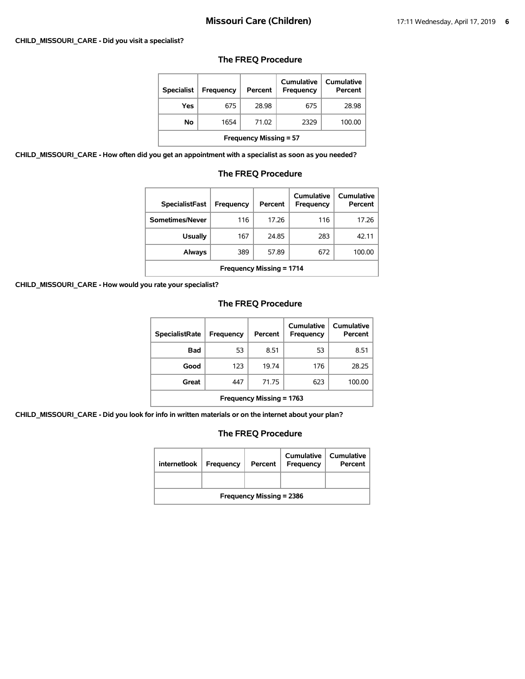#### **CHILD\_MISSOURI\_CARE - Did you visit a specialist?**

### **The FREQ Procedure**

| <b>Specialist</b>             | <b>Frequency</b> | Percent | Cumulative<br><b>Frequency</b> | Cumulative<br>Percent |  |
|-------------------------------|------------------|---------|--------------------------------|-----------------------|--|
| Yes                           | 675              | 28.98   | 675                            | 28.98                 |  |
| No                            | 1654             | 71.02   | 2329                           | 100.00                |  |
| <b>Frequency Missing = 57</b> |                  |         |                                |                       |  |

**CHILD\_MISSOURI\_CARE - How often did you get an appointment with a specialist as soon as you needed?**

### **The FREQ Procedure**

| <b>SpecialistFast</b>           | <b>Frequency</b> | Percent | Cumulative<br>Frequency | Cumulative<br>Percent |  |
|---------------------------------|------------------|---------|-------------------------|-----------------------|--|
| Sometimes/Never                 | 116              | 17.26   | 116                     | 17.26                 |  |
| <b>Usually</b>                  | 167              | 24.85   | 283                     | 42.11                 |  |
| Always                          | 389              | 57.89   | 672                     | 100.00                |  |
| <b>Frequency Missing = 1714</b> |                  |         |                         |                       |  |

**CHILD\_MISSOURI\_CARE - How would you rate your specialist?**

# **The FREQ Procedure**

| <b>SpecialistRate</b>           | <b>Frequency</b> | Percent | Cumulative<br><b>Frequency</b> | <b>Cumulative</b><br>Percent |  |
|---------------------------------|------------------|---------|--------------------------------|------------------------------|--|
| <b>Bad</b>                      | 53               | 8.51    | 53                             | 8.51                         |  |
| Good                            | 123              | 19.74   | 176                            | 28.25                        |  |
| Great                           | 447              | 71.75   | 623                            | 100.00                       |  |
| <b>Frequency Missing = 1763</b> |                  |         |                                |                              |  |

**CHILD\_MISSOURI\_CARE - Did you look for info in written materials or on the internet about your plan?**

| internetlook                    | Frequency | Percent | <b>Cumulative</b><br>Frequency | <b>Cumulative</b><br>Percent |  |
|---------------------------------|-----------|---------|--------------------------------|------------------------------|--|
|                                 |           |         |                                |                              |  |
| <b>Frequency Missing = 2386</b> |           |         |                                |                              |  |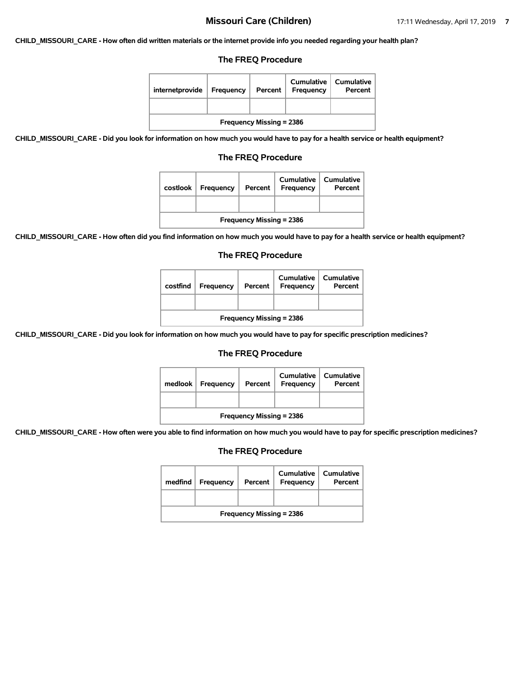**CHILD\_MISSOURI\_CARE - How often did written materials or the internet provide info you needed regarding your health plan?**

### **The FREQ Procedure**

| internetprovide                 | Frequency | Percent | Cumulative<br>Frequency | Cumulative<br>Percent |  |
|---------------------------------|-----------|---------|-------------------------|-----------------------|--|
|                                 |           |         |                         |                       |  |
| <b>Frequency Missing = 2386</b> |           |         |                         |                       |  |

**CHILD\_MISSOURI\_CARE - Did you look for information on how much you would have to pay for a health service or health equipment?**

### **The FREQ Procedure**

| costlook                        | <b>Frequency</b> | Percent | Cumulative<br>Frequency | Cumulative<br>Percent |  |  |
|---------------------------------|------------------|---------|-------------------------|-----------------------|--|--|
|                                 |                  |         |                         |                       |  |  |
| <b>Frequency Missing = 2386</b> |                  |         |                         |                       |  |  |

**CHILD\_MISSOURI\_CARE - How often did you find information on how much you would have to pay for a health service or health equipment?**

#### **The FREQ Procedure**

| costfind                        | Frequency | Percent | Cumulative<br><b>Frequency</b> | Cumulative<br>Percent |  |
|---------------------------------|-----------|---------|--------------------------------|-----------------------|--|
|                                 |           |         |                                |                       |  |
| <b>Frequency Missing = 2386</b> |           |         |                                |                       |  |

**CHILD\_MISSOURI\_CARE - Did you look for information on how much you would have to pay for specific prescription medicines?**

#### **The FREQ Procedure**

| medlook $ $                     | <b>Frequency</b> | Percent | Cumulative<br>Frequency | <b>Cumulative</b><br>Percent |  |
|---------------------------------|------------------|---------|-------------------------|------------------------------|--|
|                                 |                  |         |                         |                              |  |
| <b>Frequency Missing = 2386</b> |                  |         |                         |                              |  |

**CHILD\_MISSOURI\_CARE - How often were you able to find information on how much you would have to pay for specific prescription medicines?**

| medfind                         | Frequency | Percent | <b>Cumulative</b><br>Frequency | Cumulative<br>Percent |  |
|---------------------------------|-----------|---------|--------------------------------|-----------------------|--|
|                                 |           |         |                                |                       |  |
| <b>Frequency Missing = 2386</b> |           |         |                                |                       |  |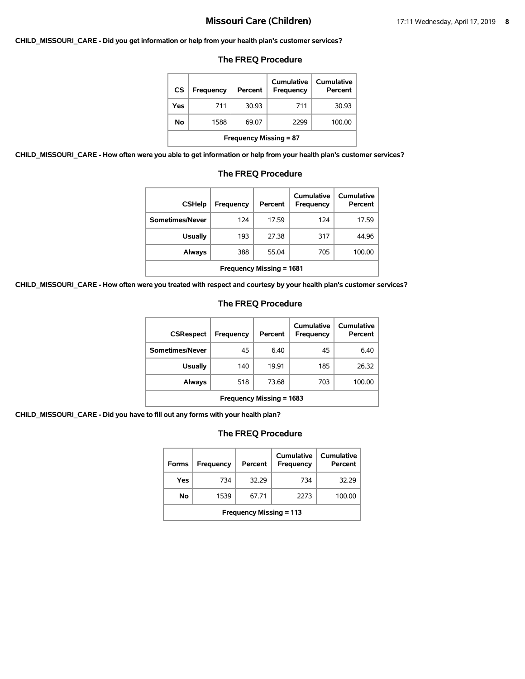#### **CHILD\_MISSOURI\_CARE - Did you get information or help from your health plan's customer services?**

### **The FREQ Procedure**

| <b>CS</b>                     | <b>Frequency</b> | Percent | Cumulative<br>Frequency | <b>Cumulative</b><br>Percent |  |
|-------------------------------|------------------|---------|-------------------------|------------------------------|--|
| Yes                           | 711              | 30.93   | 711                     | 30.93                        |  |
| Νo                            | 1588             | 69.07   | 2299                    | 100.00                       |  |
| <b>Frequency Missing = 87</b> |                  |         |                         |                              |  |

**CHILD\_MISSOURI\_CARE - How often were you able to get information or help from your health plan's customer services?**

| <b>CSHelp</b>                   | Frequency | Percent | Cumulative<br>Frequency | Cumulative<br>Percent |  |  |
|---------------------------------|-----------|---------|-------------------------|-----------------------|--|--|
| Sometimes/Never                 | 124       | 17.59   | 124                     | 17.59                 |  |  |
| Usually                         | 193       | 27.38   | 317                     | 44.96                 |  |  |
| Always                          | 388       | 55.04   | 705                     | 100.00                |  |  |
| <b>Frequency Missing = 1681</b> |           |         |                         |                       |  |  |

# **The FREQ Procedure**

**CHILD\_MISSOURI\_CARE - How often were you treated with respect and courtesy by your health plan's customer services?**

### **The FREQ Procedure**

| <b>CSRespect</b>                | Frequency | Percent | Cumulative<br>Frequency | Cumulative<br>Percent |  |
|---------------------------------|-----------|---------|-------------------------|-----------------------|--|
| Sometimes/Never                 | 45        | 6.40    | 45                      | 6.40                  |  |
| <b>Usually</b>                  | 140       | 19.91   | 185                     | 26.32                 |  |
| Always                          | 518       | 73.68   | 703                     | 100.00                |  |
| <b>Frequency Missing = 1683</b> |           |         |                         |                       |  |

**CHILD\_MISSOURI\_CARE - Did you have to fill out any forms with your health plan?**

| <b>Forms</b>                   | Frequency | Percent | Cumulative<br>Frequency | Cumulative<br>Percent |  |
|--------------------------------|-----------|---------|-------------------------|-----------------------|--|
| Yes                            | 734       | 32.29   | 734                     | 32.29                 |  |
| No                             | 1539      | 67.71   | 2273                    | 100.00                |  |
| <b>Frequency Missing = 113</b> |           |         |                         |                       |  |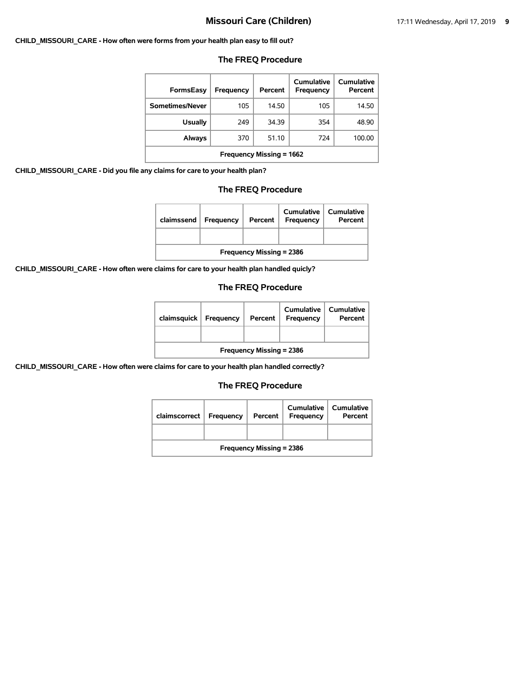#### **CHILD\_MISSOURI\_CARE - How often were forms from your health plan easy to fill out?**

| <b>FormsEasy</b>         | Frequency | Percent | Cumulative<br>Frequency | Cumulative<br>Percent |  |
|--------------------------|-----------|---------|-------------------------|-----------------------|--|
| Sometimes/Never          | 105       | 14.50   | 105                     | 14.50                 |  |
| <b>Usually</b>           | 249       | 34.39   | 354                     | 48.90                 |  |
| Always                   | 370       | 51.10   | 724                     | 100.00                |  |
| Frequency Missing = 1662 |           |         |                         |                       |  |

### **The FREQ Procedure**

**CHILD\_MISSOURI\_CARE - Did you file any claims for care to your health plan?**

### **The FREQ Procedure**

| claimssend                      | Frequency | Percent | <b>Cumulative</b><br>Frequency | <b>Cumulative</b><br>Percent |  |
|---------------------------------|-----------|---------|--------------------------------|------------------------------|--|
|                                 |           |         |                                |                              |  |
| <b>Frequency Missing = 2386</b> |           |         |                                |                              |  |

**CHILD\_MISSOURI\_CARE - How often were claims for care to your health plan handled quicly?**

# **The FREQ Procedure**

| claimsquick                     | <b>Frequency</b> | Percent | Cumulative<br><b>Frequency</b> | Cumulative<br>Percent |  |
|---------------------------------|------------------|---------|--------------------------------|-----------------------|--|
|                                 |                  |         |                                |                       |  |
| <b>Frequency Missing = 2386</b> |                  |         |                                |                       |  |

**CHILD\_MISSOURI\_CARE - How often were claims for care to your health plan handled correctly?**

| claimscorrect                   | Frequency | Percent | <b>Cumulative</b><br>Frequency | <b>Cumulative</b><br>Percent |  |
|---------------------------------|-----------|---------|--------------------------------|------------------------------|--|
|                                 |           |         |                                |                              |  |
| <b>Frequency Missing = 2386</b> |           |         |                                |                              |  |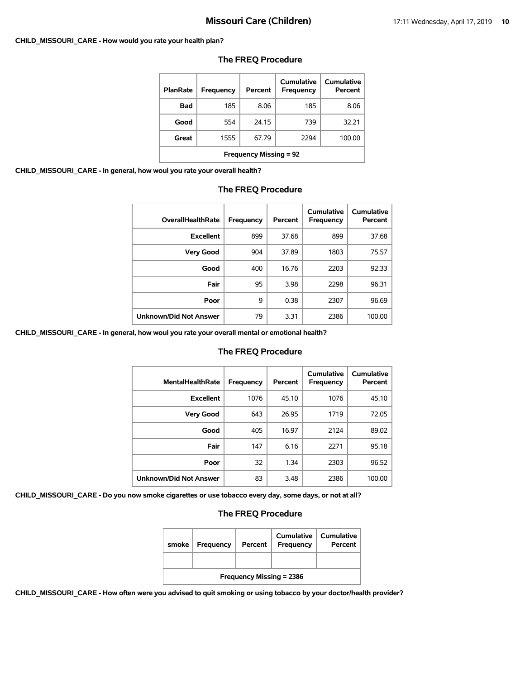#### **CHILD\_MISSOURI\_CARE - How would you rate your health plan?**

| <b>PlanRate</b>               | Frequency | Percent | Cumulative<br>Frequency | Cumulative<br>Percent |  |
|-------------------------------|-----------|---------|-------------------------|-----------------------|--|
| Bad                           | 185       | 8.06    | 185                     | 8.06                  |  |
| Good                          | 554       | 24.15   | 739                     | 32.21                 |  |
| Great                         | 1555      | 67.79   | 2294                    | 100.00                |  |
| <b>Frequency Missing = 92</b> |           |         |                         |                       |  |

#### **The FREQ Procedure**

**CHILD\_MISSOURI\_CARE - In general, how woul you rate your overall health?**

# **The FREQ Procedure**

| <b>OverallHealthRate</b>      | Frequency | Percent | Cumulative<br>Frequency | <b>Cumulative</b><br>Percent |
|-------------------------------|-----------|---------|-------------------------|------------------------------|
| <b>Excellent</b>              | 899       | 37.68   | 899                     | 37.68                        |
| <b>Very Good</b>              | 904       | 37.89   | 1803                    | 75.57                        |
| Good                          | 400       | 16.76   | 2203                    | 92.33                        |
| Fair                          | 95        | 3.98    | 2298                    | 96.31                        |
| Poor                          | 9         | 0.38    | 2307                    | 96.69                        |
| <b>Unknown/Did Not Answer</b> | 79        | 3.31    | 2386                    | 100.00                       |

**CHILD\_MISSOURI\_CARE - In general, how woul you rate your overall mental or emotional health?**

#### **The FREQ Procedure**

| <b>MentalHealthRate</b>       | Frequency | Percent | Cumulative<br><b>Frequency</b> | Cumulative<br>Percent |
|-------------------------------|-----------|---------|--------------------------------|-----------------------|
| <b>Excellent</b>              | 1076      | 45.10   | 1076                           | 45.10                 |
| <b>Very Good</b>              | 643       | 26.95   | 1719                           | 72.05                 |
| Good                          | 405       | 16.97   | 2124                           | 89.02                 |
| Fair                          | 147       | 6.16    | 2271                           | 95.18                 |
| Poor                          | 32        | 1.34    | 2303                           | 96.52                 |
| <b>Unknown/Did Not Answer</b> | 83        | 3.48    | 2386                           | 100.00                |

**CHILD\_MISSOURI\_CARE - Do you now smoke cigarettes or use tobacco every day, some days, or not at all?**

# **The FREQ Procedure**

| smoke                           | Frequency | Percent | Cumulative<br><b>Frequency</b> | Cumulative<br>Percent |  |
|---------------------------------|-----------|---------|--------------------------------|-----------------------|--|
|                                 |           |         |                                |                       |  |
| <b>Frequency Missing = 2386</b> |           |         |                                |                       |  |

**CHILD\_MISSOURI\_CARE - How often were you advised to quit smoking or using tobacco by your doctor/health provider?**